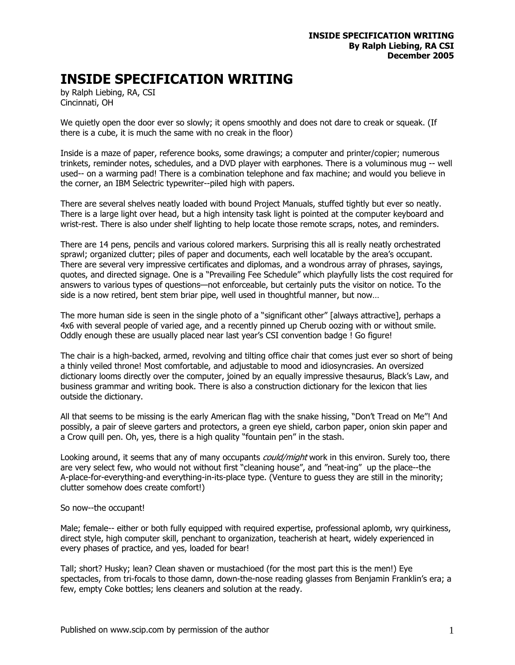## **INSIDE SPECIFICATION WRITING**

by Ralph Liebing, RA, CSI Cincinnati, OH

We quietly open the door ever so slowly; it opens smoothly and does not dare to creak or squeak. (If there is a cube, it is much the same with no creak in the floor)

Inside is a maze of paper, reference books, some drawings; a computer and printer/copier; numerous trinkets, reminder notes, schedules, and a DVD player with earphones. There is a voluminous mug -- well used-- on a warming pad! There is a combination telephone and fax machine; and would you believe in the corner, an IBM Selectric typewriter--piled high with papers.

There are several shelves neatly loaded with bound Project Manuals, stuffed tightly but ever so neatly. There is a large light over head, but a high intensity task light is pointed at the computer keyboard and wrist-rest. There is also under shelf lighting to help locate those remote scraps, notes, and reminders.

There are 14 pens, pencils and various colored markers. Surprising this all is really neatly orchestrated sprawl; organized clutter; piles of paper and documents, each well locatable by the area's occupant. There are several very impressive certificates and diplomas, and a wondrous array of phrases, sayings, quotes, and directed signage. One is a "Prevailing Fee Schedule" which playfully lists the cost required for answers to various types of questions—not enforceable, but certainly puts the visitor on notice. To the side is a now retired, bent stem briar pipe, well used in thoughtful manner, but now…

The more human side is seen in the single photo of a "significant other" [always attractive], perhaps a 4x6 with several people of varied age, and a recently pinned up Cherub oozing with or without smile. Oddly enough these are usually placed near last year's CSI convention badge ! Go figure!

The chair is a high-backed, armed, revolving and tilting office chair that comes just ever so short of being a thinly veiled throne! Most comfortable, and adjustable to mood and idiosyncrasies. An oversized dictionary looms directly over the computer, joined by an equally impressive thesaurus, Black's Law, and business grammar and writing book. There is also a construction dictionary for the lexicon that lies outside the dictionary.

All that seems to be missing is the early American flag with the snake hissing, "Don't Tread on Me"! And possibly, a pair of sleeve garters and protectors, a green eye shield, carbon paper, onion skin paper and a Crow quill pen. Oh, yes, there is a high quality "fountain pen" in the stash.

Looking around, it seems that any of many occupants *could/might* work in this environ. Surely too, there are very select few, who would not without first "cleaning house", and "neat-ing" up the place--the A-place-for-everything-and everything-in-its-place type. (Venture to guess they are still in the minority; clutter somehow does create comfort!)

## So now--the occupant!

Male; female-- either or both fully equipped with required expertise, professional aplomb, wry quirkiness, direct style, high computer skill, penchant to organization, teacherish at heart, widely experienced in every phases of practice, and yes, loaded for bear!

Tall; short? Husky; lean? Clean shaven or mustachioed (for the most part this is the men!) Eye spectacles, from tri-focals to those damn, down-the-nose reading glasses from Benjamin Franklin's era; a few, empty Coke bottles; lens cleaners and solution at the ready.